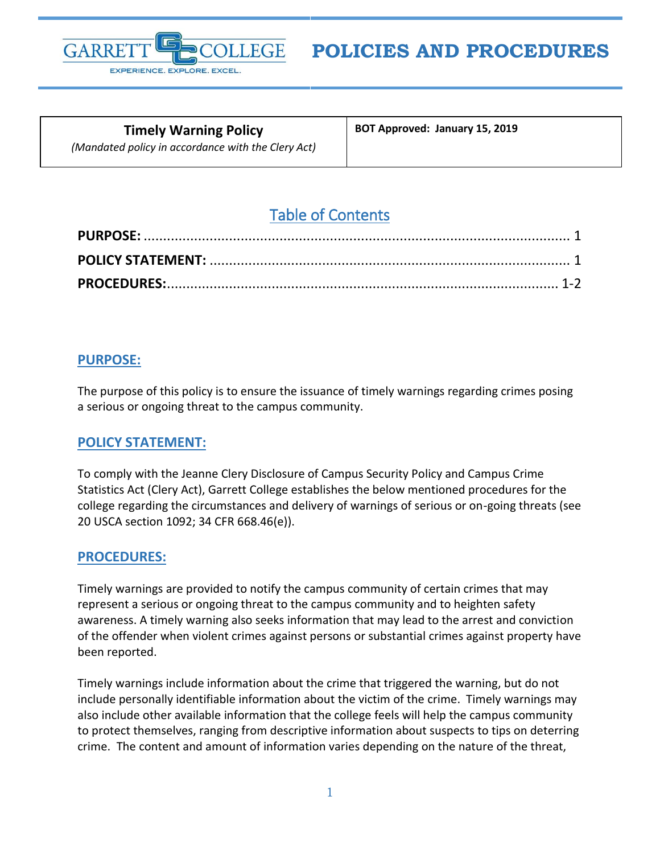

# **POLICIES AND PROCEDURES**

**Timely Warning Policy** *(Mandated policy in accordance with the Clery Act)* **BOT Approved: January 15, 2019**

# Table of Contents

## <span id="page-0-0"></span>**PURPOSE:**

The purpose of this policy is to ensure the issuance of timely warnings regarding crimes posing a serious or ongoing threat to the campus community.

### <span id="page-0-1"></span>**POLICY STATEMENT:**

To comply with the Jeanne Clery Disclosure of Campus Security Policy and Campus Crime Statistics Act (Clery Act), Garrett College establishes the below mentioned procedures for the college regarding the circumstances and delivery of warnings of serious or on-going threats (see 20 USCA section 1092; 34 CFR 668.46(e)).

### <span id="page-0-2"></span>**PROCEDURES:**

Timely warnings are provided to notify the campus community of certain crimes that may represent a serious or ongoing threat to the campus community and to heighten safety awareness. A timely warning also seeks information that may lead to the arrest and conviction of the offender when violent crimes against persons or substantial crimes against property have been reported.

Timely warnings include information about the crime that triggered the warning, but do not include personally identifiable information about the victim of the crime. Timely warnings may also include other available information that the college feels will help the campus community to protect themselves, ranging from descriptive information about suspects to tips on deterring crime. The content and amount of information varies depending on the nature of the threat,